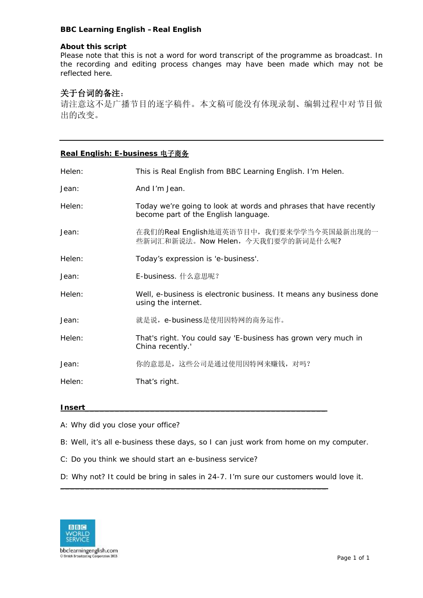### **BBC Learning English –Real English**

#### **About this script**

Please note that this is not a word for word transcript of the programme as broadcast. In the recording and editing process changes may have been made which may not be reflected here.

# **关于台词的备注**:

请注意这不是广播节目的逐字稿件。本文稿可能没有体现录制、编辑过程中对节目做 出的改变。

## **Real English: E-business 电子商务**

| Helen: | This is Real English from BBC Learning English. I'm Helen.                                                |
|--------|-----------------------------------------------------------------------------------------------------------|
| Jean:  | And I'm Jean.                                                                                             |
| Helen: | Today we're going to look at words and phrases that have recently<br>become part of the English language. |
| Jean:  | 在我们的Real English地道英语节目中, 我们要来学学当今英国最新出现的一<br>些新词汇和新说法。Now Helen, 今天我们要学的新词是什么呢?                           |
| Helen: | Today's expression is 'e-business'.                                                                       |
| Jean:  | E-business. 什么意思呢?                                                                                        |
| Helen: | Well, e-business is electronic business. It means any business done<br>using the internet.                |
| Jean:  | 就是说, e-business是使用因特网的商务运作。                                                                               |
| Helen: | That's right. You could say 'E-business has grown very much in<br>China recently.'                        |
| Jean:  | 你的意思是, 这些公司是通过使用因特网来赚钱, 对吗?                                                                               |
| Helen: | That's right.                                                                                             |

### **Insert\_\_\_\_\_\_\_\_\_\_\_\_\_\_\_\_\_\_\_\_\_\_\_\_\_\_\_\_\_\_\_\_\_\_\_\_\_\_\_\_\_\_\_\_\_\_\_\_**

- A: Why did you close your office?
- B: Well, it's all e-business these days, so I can just work from home on my computer.
- C: Do you think we should start an e-business service?

D: Why not? It could be bring in sales in 24-7. I'm sure our customers would love it.

**\_\_\_\_\_\_\_\_\_\_\_\_\_\_\_\_\_\_\_\_\_\_\_\_\_\_\_\_\_\_\_\_\_\_\_\_\_\_\_\_\_\_\_\_\_\_\_\_\_\_\_\_\_**